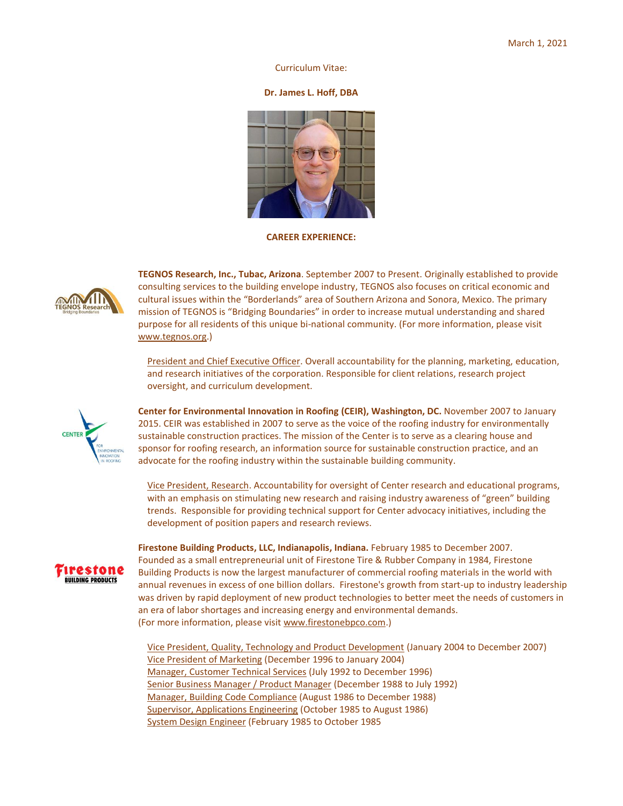### Curriculum Vitae:

### **Dr. James L. Hoff, DBA**



**CAREER EXPERIENCE:**



**TEGNOS Research, Inc., Tubac, Arizona**. September 2007 to Present. Originally established to provide consulting services to the building envelope industry, TEGNOS also focuses on critical economic and cultural issues within the "Borderlands" area of Southern Arizona and Sonora, Mexico. The primary mission of TEGNOS is "Bridging Boundaries" in order to increase mutual understanding and shared purpose for all residents of this unique bi-national community. (For more information, please visit [www.tegnos.org.\)](http://www.tegnos.org/)

President and Chief Executive Officer. Overall accountability for the planning, marketing, education, and research initiatives of the corporation. Responsible for client relations, research project oversight, and curriculum development.



**Center for Environmental Innovation in Roofing (CEIR), Washington, DC.** November 2007 to January 2015. CEIR was established in 2007 to serve as the voice of the roofing industry for environmentally sustainable construction practices. The mission of the Center is to serve as a clearing house and sponsor for roofing research, an information source for sustainable construction practice, and an advocate for the roofing industry within the sustainable building community.

Vice President, Research. Accountability for oversight of Center research and educational programs, with an emphasis on stimulating new research and raising industry awareness of "green" building trends. Responsible for providing technical support for Center advocacy initiatives, including the development of position papers and research reviews.



**Firestone Building Products, LLC, Indianapolis, Indiana.** February 1985 to December 2007. Founded as a small entrepreneurial unit of Firestone Tire & Rubber Company in 1984, Firestone Building Products is now the largest manufacturer of commercial roofing materials in the world with annual revenues in excess of one billion dollars. Firestone's growth from start-up to industry leadership was driven by rapid deployment of new product technologies to better meet the needs of customers in an era of labor shortages and increasing energy and environmental demands. (For more information, please visi[t www.firestonebpco.com.\)](http://www.firestonebpco.com/)

Vice President, Quality, Technology and Product Development (January 2004 to December 2007) Vice President of Marketing (December 1996 to January 2004) Manager, Customer Technical Services (July 1992 to December 1996) Senior Business Manager / Product Manager (December 1988 to July 1992) Manager, Building Code Compliance (August 1986 to December 1988) Supervisor, Applications Engineering (October 1985 to August 1986) System Design Engineer (February 1985 to October 1985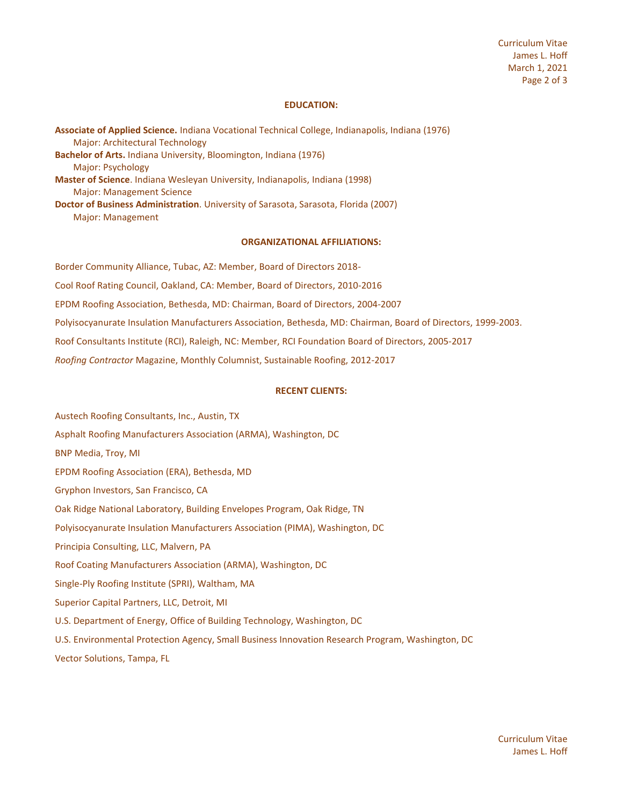Curriculum Vitae James L. Hoff March 1, 2021 Page 2 of 3

## **EDUCATION:**

**Associate of Applied Science.** Indiana Vocational Technical College, Indianapolis, Indiana (1976) Major: Architectural Technology **Bachelor of Arts.** Indiana University, Bloomington, Indiana (1976) Major: Psychology **Master of Science**. Indiana Wesleyan University, Indianapolis, Indiana (1998) Major: Management Science **Doctor of Business Administration**. University of Sarasota, Sarasota, Florida (2007) Major: Management

### **ORGANIZATIONAL AFFILIATIONS:**

Border Community Alliance, Tubac, AZ: Member, Board of Directors 2018- Cool Roof Rating Council, Oakland, CA: Member, Board of Directors, 2010-2016 EPDM Roofing Association, Bethesda, MD: Chairman, Board of Directors, 2004-2007 Polyisocyanurate Insulation Manufacturers Association, Bethesda, MD: Chairman, Board of Directors, 1999-2003. Roof Consultants Institute (RCI), Raleigh, NC: Member, RCI Foundation Board of Directors, 2005-2017 *Roofing Contractor* Magazine, Monthly Columnist, Sustainable Roofing, 2012-2017

## **RECENT CLIENTS:**

Austech Roofing Consultants, Inc., Austin, TX Asphalt Roofing Manufacturers Association (ARMA), Washington, DC BNP Media, Troy, MI EPDM Roofing Association (ERA), Bethesda, MD Gryphon Investors, San Francisco, CA Oak Ridge National Laboratory, Building Envelopes Program, Oak Ridge, TN Polyisocyanurate Insulation Manufacturers Association (PIMA), Washington, DC Principia Consulting, LLC, Malvern, PA Roof Coating Manufacturers Association (ARMA), Washington, DC Single-Ply Roofing Institute (SPRI), Waltham, MA Superior Capital Partners, LLC, Detroit, MI U.S. Department of Energy, Office of Building Technology, Washington, DC U.S. Environmental Protection Agency, Small Business Innovation Research Program, Washington, DC Vector Solutions, Tampa, FL